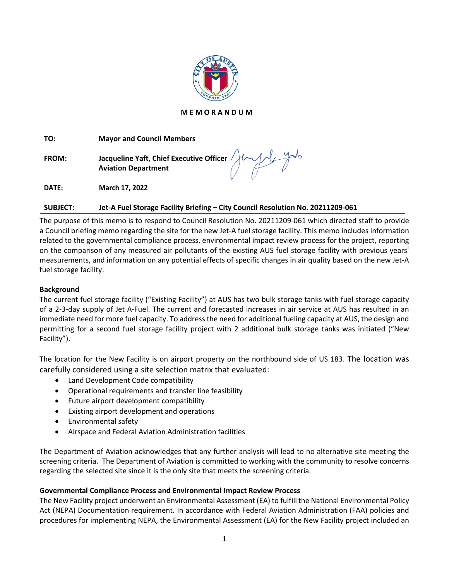

### **M E M O R A N D U M**

**TO: Mayor and Council Members**

**FROM: Jacqueline Yaft, Chief Executive Officer Aviation Department**

**DATE: March 17, 2022**

# **SUBJECT: Jet-A Fuel Storage Facility Briefing – City Council Resolution No. 20211209-061**

The purpose of this memo is to respond to Council Resolution No. 20211209-061 which directed staff to provide a Council briefing memo regarding the site for the new Jet-A fuel storage facility. This memo includes information related to the governmental compliance process, environmental impact review process for the project, reporting on the comparison of any measured air pollutants of the existing AUS fuel storage facility with previous years' measurements, and information on any potential effects of specific changes in air quality based on the new Jet-A fuel storage facility.

## **Background**

The current fuel storage facility ("Existing Facility") at AUS has two bulk storage tanks with fuel storage capacity of a 2-3-day supply of Jet A-Fuel. The current and forecasted increases in air service at AUS has resulted in an immediate need for more fuel capacity. To address the need for additional fueling capacity at AUS, the design and permitting for a second fuel storage facility project with 2 additional bulk storage tanks was initiated ("New Facility").

The location for the New Facility is on airport property on the northbound side of US 183. The location was carefully considered using a site selection matrix that evaluated:

- Land Development Code compatibility
- Operational requirements and transfer line feasibility
- Future airport development compatibility
- Existing airport development and operations
- Environmental safety
- Airspace and Federal Aviation Administration facilities

The Department of Aviation acknowledges that any further analysis will lead to no alternative site meeting the screening criteria. The Department of Aviation is committed to working with the community to resolve concerns regarding the selected site since it is the only site that meets the screening criteria.

## **Governmental Compliance Process and Environmental Impact Review Process**

The New Facility project underwent an Environmental Assessment (EA) to fulfill the National Environmental Policy Act (NEPA) Documentation requirement. In accordance with Federal Aviation Administration (FAA) policies and procedures for implementing NEPA, the Environmental Assessment (EA) for the New Facility project included an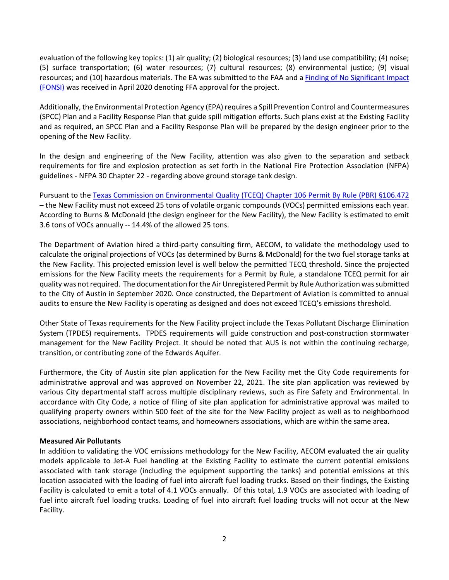evaluation of the following key topics: (1) air quality; (2) biological resources; (3) land use compatibility; (4) noise; (5) surface transportation; (6) water resources; (7) cultural resources; (8) environmental justice; (9) visual resources; and (10) hazardous materials. The EA was submitted to the FAA and a [Finding of No Significant Impact](https://www.austintexas.gov/sites/default/files/images/Airport/Environmental/AUS_Fuel_Facility_FONSI.pdf)  [\(FONSI\)](https://www.austintexas.gov/sites/default/files/images/Airport/Environmental/AUS_Fuel_Facility_FONSI.pdf) was received in April 2020 denoting FFA approval for the project.

Additionally, the Environmental Protection Agency (EPA) requires a Spill Prevention Control and Countermeasures (SPCC) Plan and a Facility Response Plan that guide spill mitigation efforts. Such plans exist at the Existing Facility and as required, an SPCC Plan and a Facility Response Plan will be prepared by the design engineer prior to the opening of the New Facility.

In the design and engineering of the New Facility, attention was also given to the separation and setback requirements for fire and explosion protection as set forth in the National Fire Protection Association (NFPA) guidelines - NFPA 30 Chapter 22 - regarding above ground storage tank design.

Pursuant to the Texas Commission on Environmental Quality [\(TCEQ\) Chapter 106 Permit By Rule \(PBR\) §106.472](https://www.tceq.texas.gov/permitting/air/permitbyrule/subchapter-u/organic_inorganic_liquid.html) – the New Facility must not exceed 25 tons of volatile organic compounds (VOCs) permitted emissions each year. According to Burns & McDonald (the design engineer for the New Facility), the New Facility is estimated to emit 3.6 tons of VOCs annually -- 14.4% of the allowed 25 tons.

The Department of Aviation hired a third-party consulting firm, AECOM, to validate the methodology used to calculate the original projections of VOCs (as determined by Burns & McDonald) for the two fuel storage tanks at the New Facility. This projected emission level is well below the permitted TECQ threshold. Since the projected emissions for the New Facility meets the requirements for a Permit by Rule, a standalone TCEQ permit for air quality was not required. The documentation for the Air Unregistered Permit by Rule Authorization was submitted to the City of Austin in September 2020. Once constructed, the Department of Aviation is committed to annual audits to ensure the New Facility is operating as designed and does not exceed TCEQ's emissions threshold.

Other State of Texas requirements for the New Facility project include the Texas Pollutant Discharge Elimination System (TPDES) requirements. TPDES requirements will guide construction and post-construction stormwater management for the New Facility Project. It should be noted that AUS is not within the continuing recharge, transition, or contributing zone of the Edwards Aquifer.

Furthermore, the City of Austin site plan application for the New Facility met the City Code requirements for administrative approval and was approved on November 22, 2021. The site plan application was reviewed by various City departmental staff across multiple disciplinary reviews, such as Fire Safety and Environmental. In accordance with City Code, a notice of filing of site plan application for administrative approval was mailed to qualifying property owners within 500 feet of the site for the New Facility project as well as to neighborhood associations, neighborhood contact teams, and homeowners associations, which are within the same area.

### **Measured Air Pollutants**

In addition to validating the VOC emissions methodology for the New Facility, AECOM evaluated the air quality models applicable to Jet-A Fuel handling at the Existing Facility to estimate the current potential emissions associated with tank storage (including the equipment supporting the tanks) and potential emissions at this location associated with the loading of fuel into aircraft fuel loading trucks. Based on their findings, the Existing Facility is calculated to emit a total of 4.1 VOCs annually. Of this total, 1.9 VOCs are associated with loading of fuel into aircraft fuel loading trucks. Loading of fuel into aircraft fuel loading trucks will not occur at the New Facility.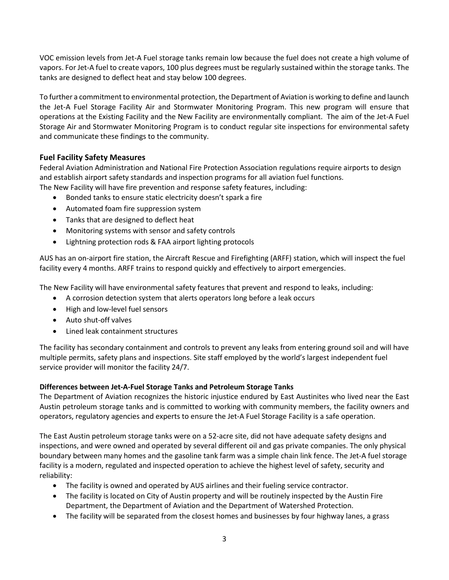VOC emission levels from Jet-A Fuel storage tanks remain low because the fuel does not create a high volume of vapors. For Jet-A fuel to create vapors, 100 plus degrees must be regularly sustained within the storage tanks. The tanks are designed to deflect heat and stay below 100 degrees.

To further a commitment to environmental protection, the Department of Aviation is working to define and launch the Jet-A Fuel Storage Facility Air and Stormwater Monitoring Program. This new program will ensure that operations at the Existing Facility and the New Facility are environmentally compliant. The aim of the Jet-A Fuel Storage Air and Stormwater Monitoring Program is to conduct regular site inspections for environmental safety and communicate these findings to the community.

# **Fuel Facility Safety Measures**

Federal Aviation Administration and National Fire Protection Association regulations require airports to design and establish airport safety standards and inspection programs for all aviation fuel functions. The New Facility will have fire prevention and response safety features, including:

- Bonded tanks to ensure static electricity doesn't spark a fire
- Automated foam fire suppression system
- Tanks that are designed to deflect heat
- Monitoring systems with sensor and safety controls
- Lightning protection rods & FAA airport lighting protocols

AUS has an on-airport fire station, the Aircraft Rescue and Firefighting (ARFF) station, which will inspect the fuel facility every 4 months. ARFF trains to respond quickly and effectively to airport emergencies.

The New Facility will have environmental safety features that prevent and respond to leaks, including:

- A corrosion detection system that alerts operators long before a leak occurs
- High and low-level fuel sensors
- Auto shut-off valves
- Lined leak containment structures

The facility has secondary containment and controls to prevent any leaks from entering ground soil and will have multiple permits, safety plans and inspections. Site staff employed by the world's largest independent fuel service provider will monitor the facility 24/7.

### **Differences between Jet-A-Fuel Storage Tanks and Petroleum Storage Tanks**

The Department of Aviation recognizes the historic injustice endured by East Austinites who lived near the East Austin petroleum storage tanks and is committed to working with community members, the facility owners and operators, regulatory agencies and experts to ensure the Jet-A Fuel Storage Facility is a safe operation.

The East Austin petroleum storage tanks were on a 52-acre site, did not have adequate safety designs and inspections, and were owned and operated by several different oil and gas private companies. The only physical boundary between many homes and the gasoline tank farm was a simple chain link fence. The Jet-A fuel storage facility is a modern, regulated and inspected operation to achieve the highest level of safety, security and reliability:

- The facility is owned and operated by AUS airlines and their fueling service contractor.
- The facility is located on City of Austin property and will be routinely inspected by the Austin Fire Department, the Department of Aviation and the Department of Watershed Protection.
- The facility will be separated from the closest homes and businesses by four highway lanes, a grass